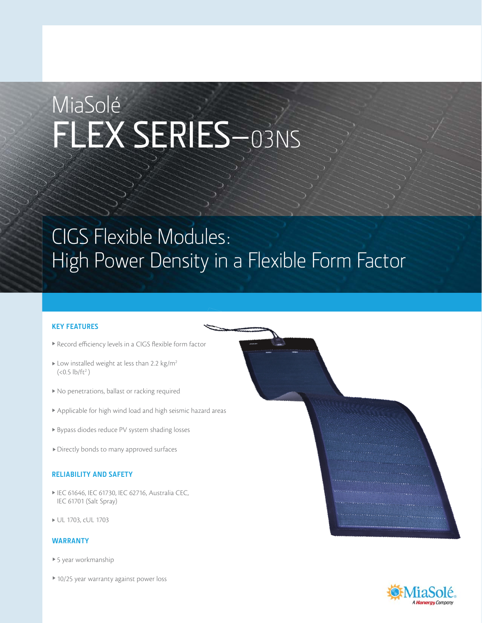# MiaSolé FLEX SERIES–03NS

## CIGS Flexible Modules: High Power Density in a Flexible Form Factor

### **KEY FEATURES**

- Record efficiency levels in a CIGS flexible form factor
- $\blacktriangleright$  Low installed weight at less than 2.2 kg/m<sup>2</sup>  $(<0.5$  lb/ft<sup>2</sup>)
- $\blacktriangleright$  No penetrations, ballast or racking required
- Applicable for high wind load and high seismic hazard areas
- Bypass diodes reduce PV system shading losses
- Directly bonds to many approved surfaces

#### **RELIABILITY AND SAFETY**

- IEC 61646, IEC 61730, IEC 62716, Australia CEC, IEC 61701 (Salt Spray)
- UL 1703, cUL 1703

### **WARRANTY**

- ▶ 5 year workmanship
- ▶ 10/25 year warranty against power loss